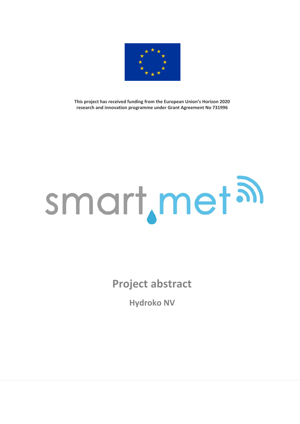

**This project has received funding from the European Union's Horizon 2020 research and innovation programme under Grant Agreement No 731996**

## smart, metal

**Project abstract**

**Hydroko NV**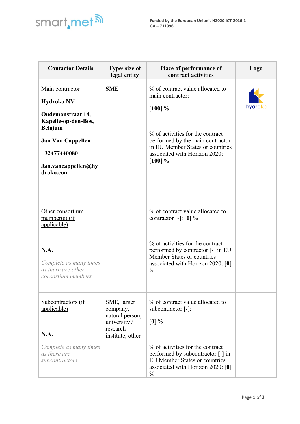

| <b>Contactor Details</b>                                                                                                                                                                  | Type/ size of<br>legal entity                                                              | Place of performance of<br>contract activities                                                                                                                                                                                                      | Logo    |
|-------------------------------------------------------------------------------------------------------------------------------------------------------------------------------------------|--------------------------------------------------------------------------------------------|-----------------------------------------------------------------------------------------------------------------------------------------------------------------------------------------------------------------------------------------------------|---------|
| Main contractor<br><b>Hydroko NV</b><br><b>Oudemanstraat 14,</b><br>Kapelle-op-den-Bos,<br><b>Belgium</b><br><b>Jan Van Cappellen</b><br>+32477440080<br>Jan.vancappellen@hy<br>droko.com | <b>SME</b>                                                                                 | % of contract value allocated to<br>main contractor:<br>$[100] \%$<br>% of activities for the contract<br>performed by the main contractor<br>in EU Member States or countries<br>associated with Horizon 2020:<br>$[100]$ %                        | hydroko |
| Other consortium<br>member(s) (if)<br><u>applicable)</u><br>N.A.<br>Complete as many times<br>as there are other<br>consortium members                                                    |                                                                                            | % of contract value allocated to<br>contractor $\lceil - \rceil$ : $\lceil 0 \rceil$ %<br>% of activities for the contract<br>performed by contractor [-] in EU<br>Member States or countries<br>associated with Horizon 2020: [0]<br>$\frac{0}{0}$ |         |
| Subcontractors (if<br>applicable)<br>N.A.<br>Complete as many times<br>as there are<br>subcontractors                                                                                     | SME, larger<br>company,<br>natural person,<br>university /<br>research<br>institute, other | % of contract value allocated to<br>subcontractor $[-]$ :<br>$[0]$ %<br>% of activities for the contract<br>performed by subcontractor [-] in<br><b>EU Member States or countries</b><br>associated with Horizon 2020: [0]<br>$\frac{0}{0}$         |         |